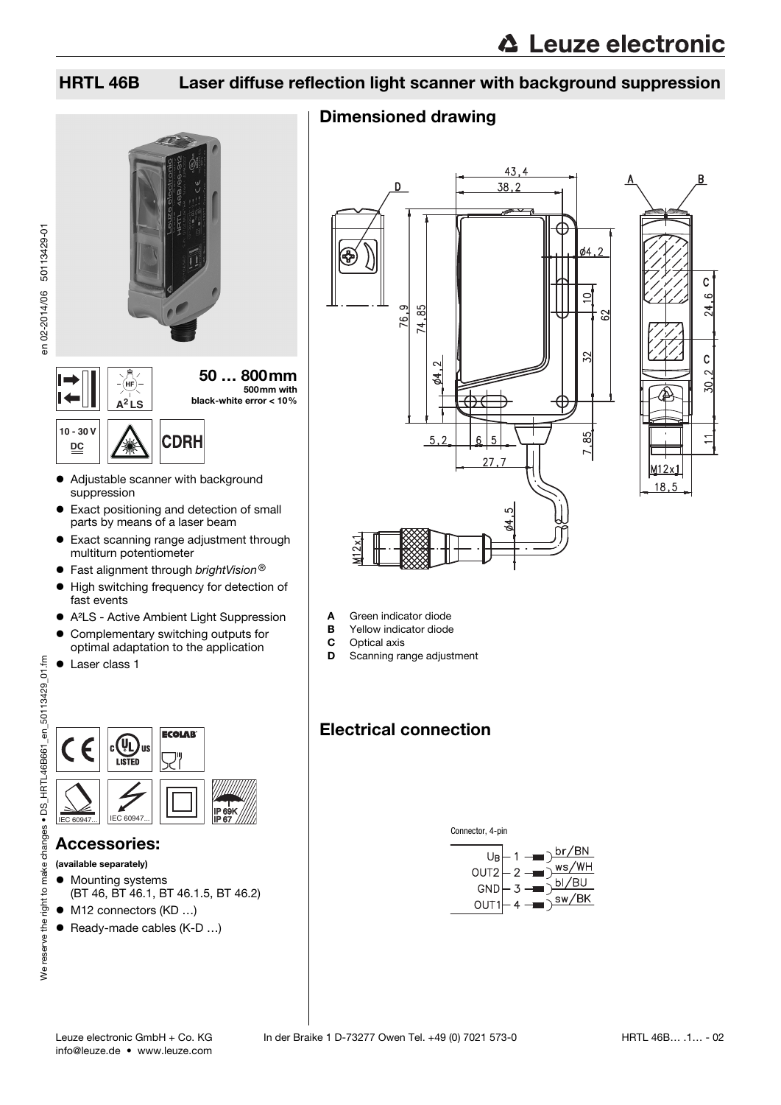# HRTL 46B Laser diffuse reflection light scanner with background suppression

# Dimensioned drawing



### Accessories:

- (available separately)
- $\bullet$  Mounting systems (BT 46, BT 46.1, BT 46.1.5, BT 46.2)
- M12 connectors (KD ...)
- Ready-made cables (K-D ...)





- **A** Green indicator diode<br>**B** Yellow indicator diode
- **B** Yellow indicator diode<br>**C** Optical axis
- **C** Optical axis<br>**D** Scanning ra
- Scanning range adjustment

# Electrical connection



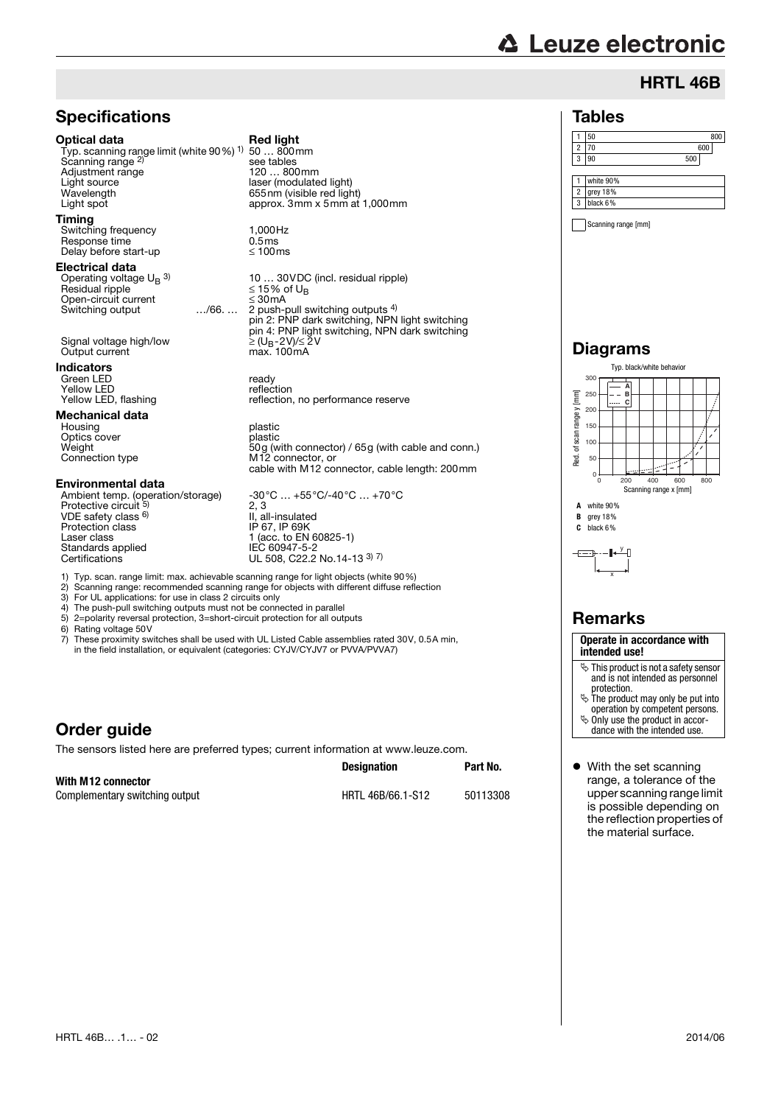# **△ Leuze electronic**

Tables

# HRTL 46B

### **Specifications**

#### Optical data Red light

Typ. scanning range limit (white 90%) 1) Scanning range<sup>2</sup> Adjustment range<br>Light source Light source laser (modulated light) Light spot approx. 3mm x 5mm at 1,000mm

#### Timing

Switching frequency 1,000Hz<br>Response time 1.5 ms Response time 0.5ms<br>Delay before start-up 6.5ms Delay before start-up

#### Electrical data

Operating voltage  $U_B$ <sup>3)</sup><br>Besidual ripple Open-circuit current ≤ 30mA

Output current

### Indicators

Green LED ready Yellow LED reflection

### Mechanical data

Housing **plastic** Optics cover<br>Weight

#### Environmental data

VDE safety class 6) Protection class IP 67, IP 69K Laser class 1 (acc. to EN 60825-1) Standards applied<br>Certifications

50 … 800mm see tables<br>120 ... 800mm Raser (modelated light)

10 … 30VDC (incl. residual ripple) Residual ripple ≤ 15% of UB Switching output …/66. … 2 push-pull switching outputs 4) pin 2: PNP dark switching, NPN light switching pin 4: PNP light switching, NPN dark switching Signal voltage high/low 2 (U<sub>B</sub>-2V)/≤ 2V<br>Output current max. 100mA

Yellow LED, flashing reflection, no performance reserve

Weight 50g (with connector) / 65g (with cable and conn.) Connection type M12 connector, or cable with M12 connector, cable length: 200mm

Ambient temp. (operation/storage) -30°C … +55°C/-40°C … +70°C<br>Protective circuit <sup>5)</sup> 2, 3 2, 3<br>II. al II, all-insulated<br>IP 67. IP 69K IEC 60947-5-2<br>UL 508, C22.2 No.14-13 <sup>3) 7)</sup>

1) Typ. scan. range limit: max. achievable scanning range for light objects (white 90%)

2) Scanning range: recommended scanning range for objects with different diffuse reflection<br>3) For UL applications: for use in class 2 circuits only

3) For UL applications: for use in class 2 circuits only

- 4) The push-pull switching outputs must not be connected in parallel<br>5)  $2$ =polarity reversal protection. 3=short-circuit protection for all outputs
- 2=polarity reversal protection, 3=short-circuit protection for all outputs

6) Rating voltage 50V<br>7) These proximity sw

These proximity switches shall be used with UL Listed Cable assemblies rated 30V, 0.5A min, in the field installation, or equivalent (categories: CYJV/CYJV7 or PVVA/PVVA7)

# Order guide

The sensors listed here are preferred types; current information at www.leuze.com.

|                                | <b>Designation</b> | Part No. |  |
|--------------------------------|--------------------|----------|--|
| With M12 connector             |                    |          |  |
| Complementary switching output | HRTL 46B/66.1-S12  | 50113308 |  |

#### 1 50 800 2 70 600 3 90 500 1 white 90% 2 grey 18% 3 black 6%

Scanning range [mm]

### Diagrams





# Remarks

#### **Operate in accordance with intended use!**

- $\&$  This product is not a safety sensor and is not intended as personnel protection.
- $\&$  The product may only be put into
- operation by competent persons. Only use the product in accordance with the intended use.
- With the set scanning range, a tolerance of the upper scanning range limit is possible depending on the reflection properties of the material surface.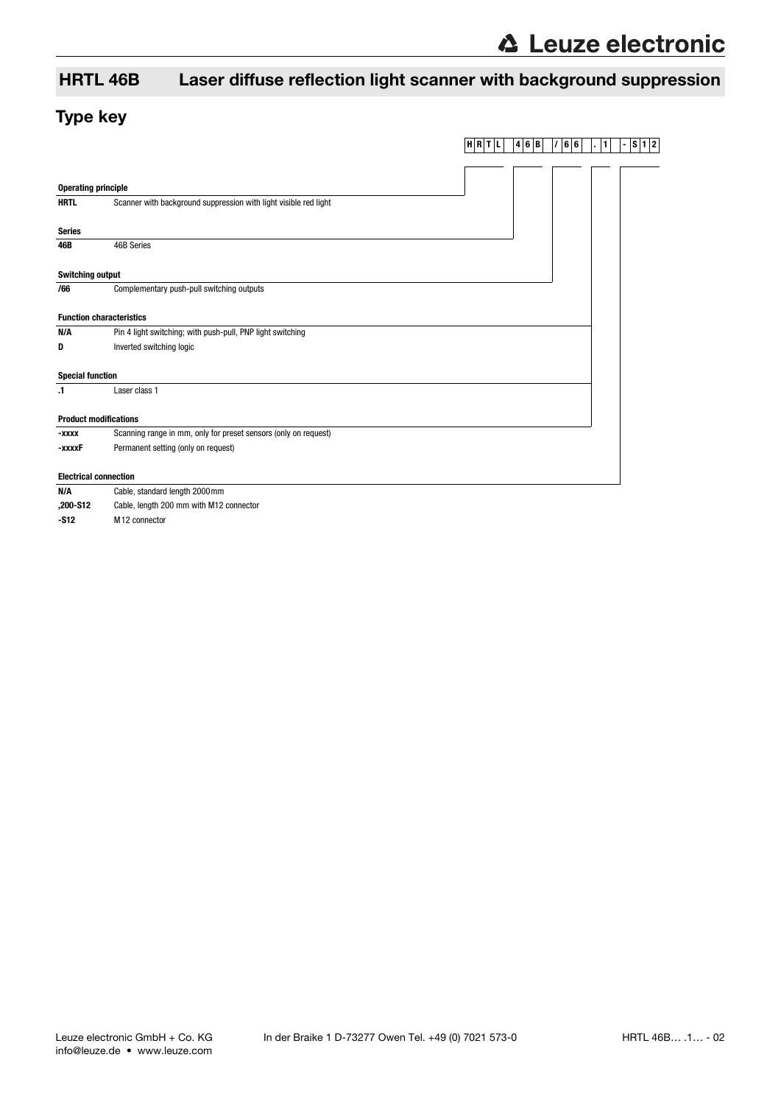# HRTL 46B Laser diffuse reflection light scanner with background suppression

# Type key

|                                 |                                                                  | $H$ $R$ $T$ $L$ | 4 6 B | /66 | ∥1<br>$\mathbf{r}$ | S 1 2 <br>$\overline{\phantom{a}}$ |
|---------------------------------|------------------------------------------------------------------|-----------------|-------|-----|--------------------|------------------------------------|
|                                 |                                                                  |                 |       |     |                    |                                    |
|                                 |                                                                  |                 |       |     |                    |                                    |
| <b>Operating principle</b>      |                                                                  |                 |       |     |                    |                                    |
| <b>HRTL</b>                     | Scanner with background suppression with light visible red light |                 |       |     |                    |                                    |
| <b>Series</b>                   |                                                                  |                 |       |     |                    |                                    |
| 46B                             | 46B Series                                                       |                 |       |     |                    |                                    |
|                                 |                                                                  |                 |       |     |                    |                                    |
| <b>Switching output</b>         |                                                                  |                 |       |     |                    |                                    |
| /66                             | Complementary push-pull switching outputs                        |                 |       |     |                    |                                    |
| <b>Function characteristics</b> |                                                                  |                 |       |     |                    |                                    |
| N/A                             | Pin 4 light switching; with push-pull, PNP light switching       |                 |       |     |                    |                                    |
|                                 |                                                                  |                 |       |     |                    |                                    |
| D                               | Inverted switching logic                                         |                 |       |     |                    |                                    |
| <b>Special function</b>         |                                                                  |                 |       |     |                    |                                    |
| $\cdot$ 1                       | Laser class 1                                                    |                 |       |     |                    |                                    |
|                                 |                                                                  |                 |       |     |                    |                                    |
| <b>Product modifications</b>    |                                                                  |                 |       |     |                    |                                    |
| -xxxx                           | Scanning range in mm, only for preset sensors (only on request)  |                 |       |     |                    |                                    |
| -xxxxF                          | Permanent setting (only on request)                              |                 |       |     |                    |                                    |
| <b>Electrical connection</b>    |                                                                  |                 |       |     |                    |                                    |
| N/A                             | Cable, standard length 2000 mm                                   |                 |       |     |                    |                                    |
|                                 |                                                                  |                 |       |     |                    |                                    |
| ,200-S12                        | Cable, length 200 mm with M12 connector                          |                 |       |     |                    |                                    |

**-S12** M12 connector